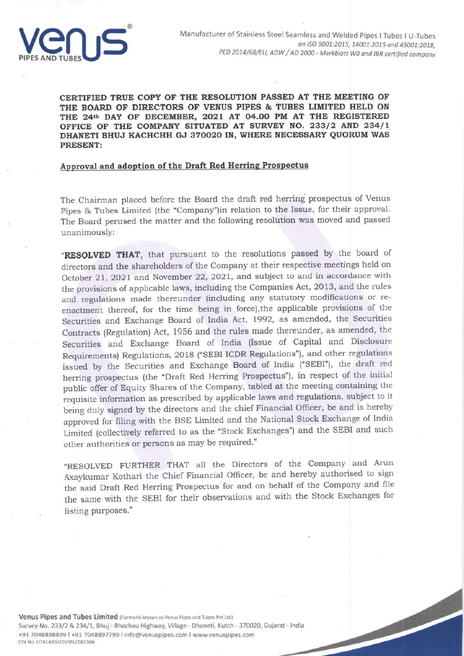

CERTIFIED TRUE COPY OF THE RESOLUTION PASSED AT THE MEETING OF THE BOARD OF DIRECTORS OF VENUS PIPES & TUBES LIMITED HELD ON THE 24th DAY OF DECEMBER, 2021 AT 04.00 PM AT THE REGISTERED OFFICE OF THE COMPANY SITUATED AT SURVEY NO. 233/2 AND 234/1 DHANETI BHUJ KACHCHH GJ 370020 IN, WHERE NECESSARY QUORUM WAS **PRESENT:** 

## Approval and adoption of the Draft Red Herring Prospectus

The Chairman placed before the Board the draft red herring prospectus of Venus Pipes & Tubes Limited (the "Company")in relation to the Issue, for their approval. The Board perused the matter and the following resolution was moved and passed unanimously:

"RESOLVED THAT, that pursuant to the resolutions passed by the board of directors and the shareholders of the Company at their respective meetings held on October 21, 2021 and November 22, 2021, and subject to and in accordance with the provisions of applicable laws, including the Companies Act, 2013, and the rules and regulations made thereunder (including any statutory modifications or reenactment thereof, for the time being in force), the applicable provisions of the Securities and Exchange Board of India Act, 1992, as amended, the Securities Contracts (Regulation) Act, 1956 and the rules made thereunder, as amended, the Securities and Exchange Board of India (Issue of Capital and Disclosure Requirements) Regulations, 2018 ("SEBI ICDR Regulations"), and other regulations issued by the Securities and Exchange Board of India ("SEBI"), the draft red herring prospectus (the "Draft Red Herring Prospectus"), in respect of the initial public offer of Equity Shares of the Company, tabled at the meeting containing the requisite information as prescribed by applicable laws and regulations, subject to it being duly signed by the directors and the chief Financial Officer, be and is hereby approved for filing with the BSE Limited and the National Stock Exchange of India Limited (collectively referred to as the "Stock Exchanges") and the SEBI and such other authorities or persons as may be required."

"RESOLVED FURTHER THAT all the Directors of the Company and Arun Axaykumar Kothari the Chief Financial Officer, be and hereby authorised to sign the said Draft Red Herring Prospectus for and on behalf of the Company and file the same with the SEBI for their observations and with the Stock Exchanges for listing purposes."

Venus Pipes and Tubes Limited (Formerly known as Venus Pipes and Tubes Pvt Ltd) Survey No. 233/2 & 234/1, Bhuj - Bhachau Highway, Village - Dhaneti, Kutch - 370020, Gujarat - India +91 7048898899 l +91 7048897799 l info@venuspipes.com l www.venuspipes.com CIN No. U74140GJ2015PLC082306